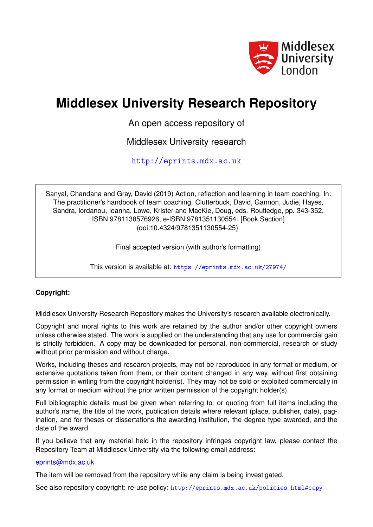

# **Middlesex University Research Repository**

An open access repository of

Middlesex University research

<http://eprints.mdx.ac.uk>

Sanyal, Chandana and Gray, David (2019) Action, reflection and learning in team coaching. In: The practitioner's handbook of team coaching. Clutterbuck, David, Gannon, Judie, Hayes, Sandra, lordanou, Ioanna, Lowe, Krister and MacKie, Doug, eds. Routledge, pp. 343-352. ISBN 9781138576926, e-ISBN 9781351130554. [Book Section] (doi:10.4324/9781351130554-25)

Final accepted version (with author's formatting)

This version is available at: <https://eprints.mdx.ac.uk/27974/>

#### **Copyright:**

Middlesex University Research Repository makes the University's research available electronically.

Copyright and moral rights to this work are retained by the author and/or other copyright owners unless otherwise stated. The work is supplied on the understanding that any use for commercial gain is strictly forbidden. A copy may be downloaded for personal, non-commercial, research or study without prior permission and without charge.

Works, including theses and research projects, may not be reproduced in any format or medium, or extensive quotations taken from them, or their content changed in any way, without first obtaining permission in writing from the copyright holder(s). They may not be sold or exploited commercially in any format or medium without the prior written permission of the copyright holder(s).

Full bibliographic details must be given when referring to, or quoting from full items including the author's name, the title of the work, publication details where relevant (place, publisher, date), pagination, and for theses or dissertations the awarding institution, the degree type awarded, and the date of the award.

If you believe that any material held in the repository infringes copyright law, please contact the Repository Team at Middlesex University via the following email address:

#### [eprints@mdx.ac.uk](mailto:eprints@mdx.ac.uk)

The item will be removed from the repository while any claim is being investigated.

See also repository copyright: re-use policy: <http://eprints.mdx.ac.uk/policies.html#copy>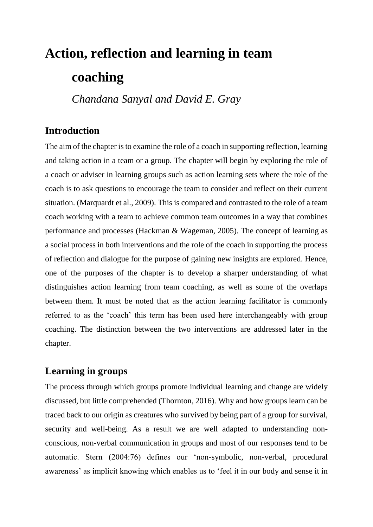# **Action, reflection and learning in team coaching**

*Chandana Sanyal and David E. Gray*

# **Introduction**

The aim of the chapter is to examine the role of a coach in supporting reflection, learning and taking action in a team or a group. The chapter will begin by exploring the role of a coach or adviser in learning groups such as action learning sets where the role of the coach is to ask questions to encourage the team to consider and reflect on their current situation. (Marquardt et al., 2009). This is compared and contrasted to the role of a team coach working with a team to achieve common team outcomes in a way that combines performance and processes (Hackman & Wageman, 2005). The concept of learning as a social process in both interventions and the role of the coach in supporting the process of reflection and dialogue for the purpose of gaining new insights are explored. Hence, one of the purposes of the chapter is to develop a sharper understanding of what distinguishes action learning from team coaching, as well as some of the overlaps between them. It must be noted that as the action learning facilitator is commonly referred to as the 'coach' this term has been used here interchangeably with group coaching. The distinction between the two interventions are addressed later in the chapter.

# **Learning in groups**

The process through which groups promote individual learning and change are widely discussed, but little comprehended (Thornton, 2016). Why and how groups learn can be traced back to our origin as creatures who survived by being part of a group for survival, security and well-being. As a result we are well adapted to understanding nonconscious, non-verbal communication in groups and most of our responses tend to be automatic. Stern (2004:76) defines our 'non-symbolic, non-verbal, procedural awareness' as implicit knowing which enables us to 'feel it in our body and sense it in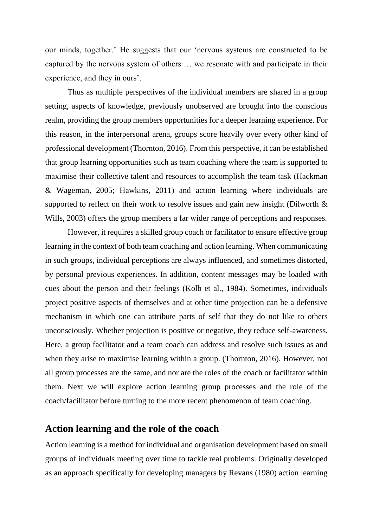our minds, together.' He suggests that our 'nervous systems are constructed to be captured by the nervous system of others … we resonate with and participate in their experience, and they in ours'.

Thus as multiple perspectives of the individual members are shared in a group setting, aspects of knowledge, previously unobserved are brought into the conscious realm, providing the group members opportunities for a deeper learning experience. For this reason, in the interpersonal arena, groups score heavily over every other kind of professional development (Thornton, 2016). From this perspective, it can be established that group learning opportunities such as team coaching where the team is supported to maximise their collective talent and resources to accomplish the team task (Hackman & Wageman, 2005; Hawkins, 2011) and action learning where individuals are supported to reflect on their work to resolve issues and gain new insight (Dilworth & Wills, 2003) offers the group members a far wider range of perceptions and responses.

However, it requires a skilled group coach or facilitator to ensure effective group learning in the context of both team coaching and action learning. When communicating in such groups, individual perceptions are always influenced, and sometimes distorted, by personal previous experiences. In addition, content messages may be loaded with cues about the person and their feelings (Kolb et al., 1984). Sometimes, individuals project positive aspects of themselves and at other time projection can be a defensive mechanism in which one can attribute parts of self that they do not like to others unconsciously. Whether projection is positive or negative, they reduce self-awareness. Here, a group facilitator and a team coach can address and resolve such issues as and when they arise to maximise learning within a group. (Thornton, 2016). However, not all group processes are the same, and nor are the roles of the coach or facilitator within them. Next we will explore action learning group processes and the role of the coach/facilitator before turning to the more recent phenomenon of team coaching.

## **Action learning and the role of the coach**

Action learning is a method for individual and organisation development based on small groups of individuals meeting over time to tackle real problems. Originally developed as an approach specifically for developing managers by Revans (1980) action learning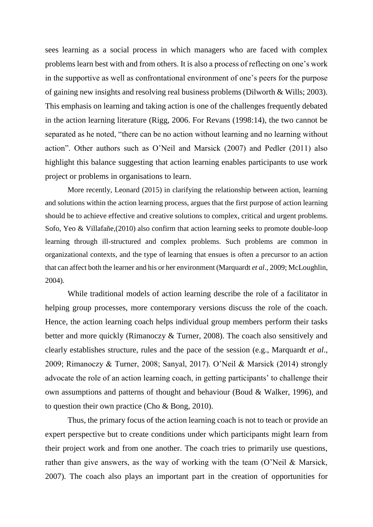sees learning as a social process in which managers who are faced with complex problems learn best with and from others. It is also a process of reflecting on one's work in the supportive as well as confrontational environment of one's peers for the purpose of gaining new insights and resolving real business problems (Dilworth & Wills; 2003). This emphasis on learning and taking action is one of the challenges frequently debated in the action learning literature (Rigg, 2006. For Revans (1998:14), the two cannot be separated as he noted, "there can be no action without learning and no learning without action". Other authors such as O'Neil and Marsick (2007) and Pedler (2011) also highlight this balance suggesting that action learning enables participants to use work project or problems in organisations to learn.

More recently, Leonard (2015) in clarifying the relationship between action, learning and solutions within the action learning process, argues that the first purpose of action learning should be to achieve effective and creative solutions to complex, critical and urgent problems. Sofo, Yeo & Villafañe,(2010) also confirm that action learning seeks to promote double-loop learning through ill-structured and complex problems. Such problems are common in organizational contexts, and the type of learning that ensues is often a precursor to an action that can affect both the learner and his or her environment (Marquardt *et al*., 2009; McLoughlin, 2004).

While traditional models of action learning describe the role of a facilitator in helping group processes, more contemporary versions discuss the role of the coach. Hence, the action learning coach helps individual group members perform their tasks better and more quickly (Rimanoczy & Turner, 2008). The coach also sensitively and clearly establishes structure, rules and the pace of the session (e.g., Marquardt *et al*., 2009; Rimanoczy & Turner, 2008; Sanyal, 2017). O'Neil & Marsick (2014) strongly advocate the role of an action learning coach, in getting participants' to challenge their own assumptions and patterns of thought and behaviour (Boud & Walker, 1996), and to question their own practice (Cho & Bong, 2010).

Thus, the primary focus of the action learning coach is not to teach or provide an expert perspective but to create conditions under which participants might learn from their project work and from one another. The coach tries to primarily use questions, rather than give answers, as the way of working with the team (O'Neil & Marsick, 2007). The coach also plays an important part in the creation of opportunities for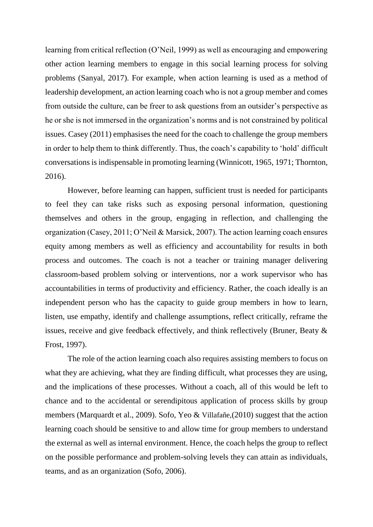learning from critical reflection (O'Neil, 1999) as well as encouraging and empowering other action learning members to engage in this social learning process for solving problems (Sanyal, 2017). For example, when action learning is used as a method of leadership development, an action learning coach who is not a group member and comes from outside the culture, can be freer to ask questions from an outsider's perspective as he or she is not immersed in the organization's norms and is not constrained by political issues. Casey (2011) emphasises the need for the coach to challenge the group members in order to help them to think differently. Thus, the coach's capability to 'hold' difficult conversations is indispensable in promoting learning (Winnicott, 1965, 1971; Thornton, 2016).

However, before learning can happen, sufficient trust is needed for participants to feel they can take risks such as exposing personal information, questioning themselves and others in the group, engaging in reflection, and challenging the organization (Casey, 2011; O'Neil & Marsick, 2007). The action learning coach ensures equity among members as well as efficiency and accountability for results in both process and outcomes. The coach is not a teacher or training manager delivering classroom-based problem solving or interventions, nor a work supervisor who has accountabilities in terms of productivity and efficiency. Rather, the coach ideally is an independent person who has the capacity to guide group members in how to learn, listen, use empathy, identify and challenge assumptions, reflect critically, reframe the issues, receive and give feedback effectively, and think reflectively (Bruner, Beaty & Frost, 1997).

The role of the action learning coach also requires assisting members to focus on what they are achieving, what they are finding difficult, what processes they are using, and the implications of these processes. Without a coach, all of this would be left to chance and to the accidental or serendipitous application of process skills by group members (Marquardt et al., 2009). Sofo, Yeo & Villafañe,(2010) suggest that the action learning coach should be sensitive to and allow time for group members to understand the external as well as internal environment. Hence, the coach helps the group to reflect on the possible performance and problem-solving levels they can attain as individuals, teams, and as an organization (Sofo, 2006).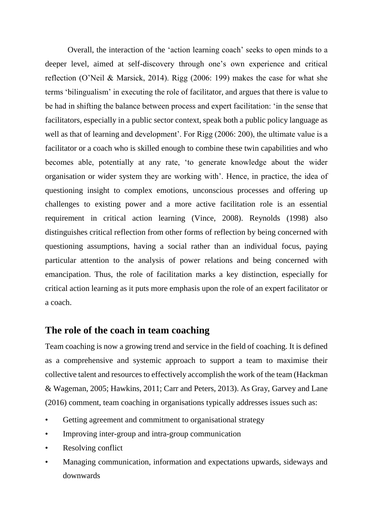Overall, the interaction of the 'action learning coach' seeks to open minds to a deeper level, aimed at self-discovery through one's own experience and critical reflection (O'Neil & Marsick, 2014). Rigg (2006: 199) makes the case for what she terms 'bilingualism' in executing the role of facilitator, and argues that there is value to be had in shifting the balance between process and expert facilitation: 'in the sense that facilitators, especially in a public sector context, speak both a public policy language as well as that of learning and development'. For Rigg (2006: 200), the ultimate value is a facilitator or a coach who is skilled enough to combine these twin capabilities and who becomes able, potentially at any rate, 'to generate knowledge about the wider organisation or wider system they are working with'. Hence, in practice, the idea of questioning insight to complex emotions, unconscious processes and offering up challenges to existing power and a more active facilitation role is an essential requirement in critical action learning (Vince, 2008). Reynolds (1998) also distinguishes critical reflection from other forms of reflection by being concerned with questioning assumptions, having a social rather than an individual focus, paying particular attention to the analysis of power relations and being concerned with emancipation. Thus, the role of facilitation marks a key distinction, especially for critical action learning as it puts more emphasis upon the role of an expert facilitator or a coach.

## **The role of the coach in team coaching**

Team coaching is now a growing trend and service in the field of coaching. It is defined as a comprehensive and systemic approach to support a team to maximise their collective talent and resources to effectively accomplish the work of the team (Hackman & Wageman, 2005; Hawkins, 2011; Carr and Peters, 2013). As Gray, Garvey and Lane (2016) comment, team coaching in organisations typically addresses issues such as:

- Getting agreement and commitment to organisational strategy
- Improving inter-group and intra-group communication
- Resolving conflict
- Managing communication, information and expectations upwards, sideways and downwards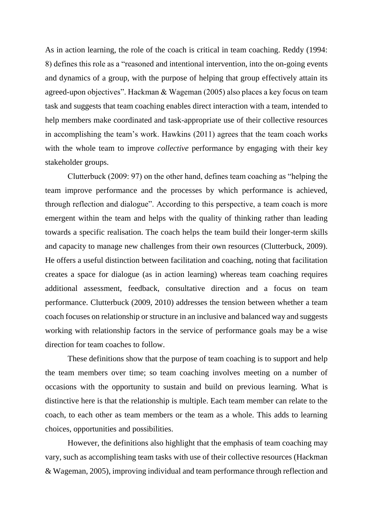As in action learning, the role of the coach is critical in team coaching. Reddy (1994: 8) defines this role as a "reasoned and intentional intervention, into the on-going events and dynamics of a group, with the purpose of helping that group effectively attain its agreed-upon objectives". Hackman & Wageman (2005) also places a key focus on team task and suggests that team coaching enables direct interaction with a team, intended to help members make coordinated and task-appropriate use of their collective resources in accomplishing the team's work. Hawkins (2011) agrees that the team coach works with the whole team to improve *collective* performance by engaging with their key stakeholder groups.

Clutterbuck (2009: 97) on the other hand, defines team coaching as "helping the team improve performance and the processes by which performance is achieved, through reflection and dialogue". According to this perspective, a team coach is more emergent within the team and helps with the quality of thinking rather than leading towards a specific realisation. The coach helps the team build their longer-term skills and capacity to manage new challenges from their own resources (Clutterbuck, 2009). He offers a useful distinction between facilitation and coaching, noting that facilitation creates a space for dialogue (as in action learning) whereas team coaching requires additional assessment, feedback, consultative direction and a focus on team performance. Clutterbuck (2009, 2010) addresses the tension between whether a team coach focuses on relationship or structure in an inclusive and balanced way and suggests working with relationship factors in the service of performance goals may be a wise direction for team coaches to follow.

These definitions show that the purpose of team coaching is to support and help the team members over time; so team coaching involves meeting on a number of occasions with the opportunity to sustain and build on previous learning. What is distinctive here is that the relationship is multiple. Each team member can relate to the coach, to each other as team members or the team as a whole. This adds to learning choices, opportunities and possibilities.

However, the definitions also highlight that the emphasis of team coaching may vary, such as accomplishing team tasks with use of their collective resources (Hackman & Wageman, 2005), improving individual and team performance through reflection and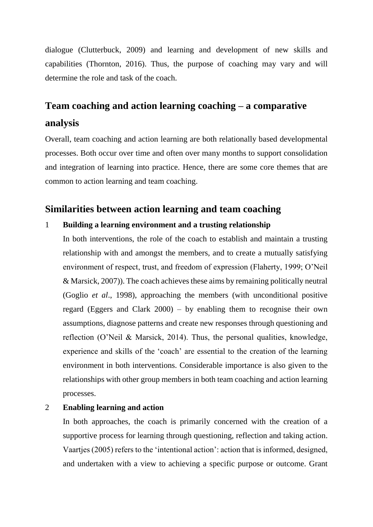dialogue (Clutterbuck, 2009) and learning and development of new skills and capabilities (Thornton, 2016). Thus, the purpose of coaching may vary and will determine the role and task of the coach.

# **Team coaching and action learning coaching – a comparative analysis**

Overall, team coaching and action learning are both relationally based developmental processes. Both occur over time and often over many months to support consolidation and integration of learning into practice. Hence, there are some core themes that are common to action learning and team coaching.

# **Similarities between action learning and team coaching**

#### 1 **Building a learning environment and a trusting relationship**

In both interventions, the role of the coach to establish and maintain a trusting relationship with and amongst the members, and to create a mutually satisfying environment of respect, trust, and freedom of expression (Flaherty, 1999; O'Neil & Marsick, 2007)). The coach achieves these aims by remaining politically neutral (Goglio *et al*., 1998), approaching the members (with unconditional positive regard (Eggers and Clark 2000) – by enabling them to recognise their own assumptions, diagnose patterns and create new responses through questioning and reflection (O'Neil & Marsick, 2014). Thus, the personal qualities, knowledge, experience and skills of the 'coach' are essential to the creation of the learning environment in both interventions. Considerable importance is also given to the relationships with other group members in both team coaching and action learning processes.

#### 2 **Enabling learning and action**

In both approaches, the coach is primarily concerned with the creation of a supportive process for learning through questioning, reflection and taking action. Vaartjes (2005) refers to the 'intentional action': action that is informed, designed, and undertaken with a view to achieving a specific purpose or outcome. Grant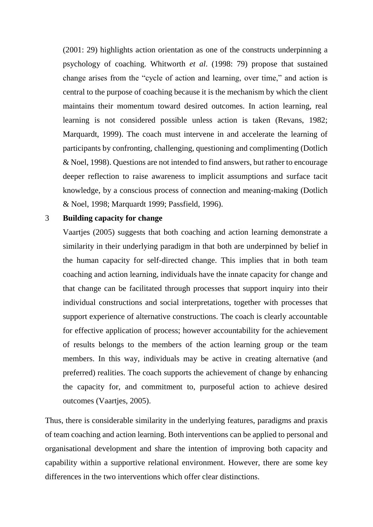(2001: 29) highlights action orientation as one of the constructs underpinning a psychology of coaching. Whitworth *et al*. (1998: 79) propose that sustained change arises from the "cycle of action and learning, over time," and action is central to the purpose of coaching because it is the mechanism by which the client maintains their momentum toward desired outcomes. In action learning, real learning is not considered possible unless action is taken (Revans, 1982; Marquardt, 1999). The coach must intervene in and accelerate the learning of participants by confronting, challenging, questioning and complimenting (Dotlich & Noel, 1998). Questions are not intended to find answers, but rather to encourage deeper reflection to raise awareness to implicit assumptions and surface tacit knowledge, by a conscious process of connection and meaning-making (Dotlich & Noel, 1998; Marquardt 1999; Passfield, 1996).

#### 3 **Building capacity for change**

Vaartjes (2005) suggests that both coaching and action learning demonstrate a similarity in their underlying paradigm in that both are underpinned by belief in the human capacity for self-directed change. This implies that in both team coaching and action learning, individuals have the innate capacity for change and that change can be facilitated through processes that support inquiry into their individual constructions and social interpretations, together with processes that support experience of alternative constructions. The coach is clearly accountable for effective application of process; however accountability for the achievement of results belongs to the members of the action learning group or the team members. In this way, individuals may be active in creating alternative (and preferred) realities. The coach supports the achievement of change by enhancing the capacity for, and commitment to, purposeful action to achieve desired outcomes (Vaartjes, 2005).

Thus, there is considerable similarity in the underlying features, paradigms and praxis of team coaching and action learning. Both interventions can be applied to personal and organisational development and share the intention of improving both capacity and capability within a supportive relational environment. However, there are some key differences in the two interventions which offer clear distinctions.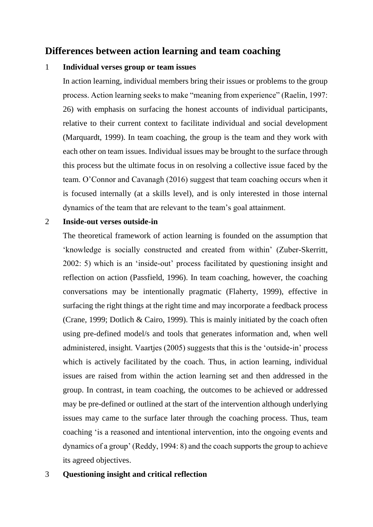# **Differences between action learning and team coaching**

#### 1 **Individual verses group or team issues**

In action learning, individual members bring their issues or problems to the group process. Action learning seeks to make "meaning from experience" (Raelin, 1997: 26) with emphasis on surfacing the honest accounts of individual participants, relative to their current context to facilitate individual and social development (Marquardt, 1999). In team coaching, the group is the team and they work with each other on team issues. Individual issues may be brought to the surface through this process but the ultimate focus in on resolving a collective issue faced by the team. O'Connor and Cavanagh (2016) suggest that team coaching occurs when it is focused internally (at a skills level), and is only interested in those internal dynamics of the team that are relevant to the team's goal attainment.

#### 2 **Inside-out verses outside-in**

The theoretical framework of action learning is founded on the assumption that 'knowledge is socially constructed and created from within' (Zuber-Skerritt, 2002: 5) which is an 'inside-out' process facilitated by questioning insight and reflection on action (Passfield, 1996). In team coaching, however, the coaching conversations may be intentionally pragmatic (Flaherty, 1999), effective in surfacing the right things at the right time and may incorporate a feedback process (Crane, 1999; Dotlich & Cairo, 1999). This is mainly initiated by the coach often using pre-defined model/s and tools that generates information and, when well administered, insight. Vaartjes (2005) suggests that this is the 'outside-in' process which is actively facilitated by the coach. Thus, in action learning, individual issues are raised from within the action learning set and then addressed in the group. In contrast, in team coaching, the outcomes to be achieved or addressed may be pre-defined or outlined at the start of the intervention although underlying issues may came to the surface later through the coaching process. Thus, team coaching 'is a reasoned and intentional intervention, into the ongoing events and dynamics of a group' (Reddy, 1994: 8) and the coach supports the group to achieve its agreed objectives.

#### 3 **Questioning insight and critical reflection**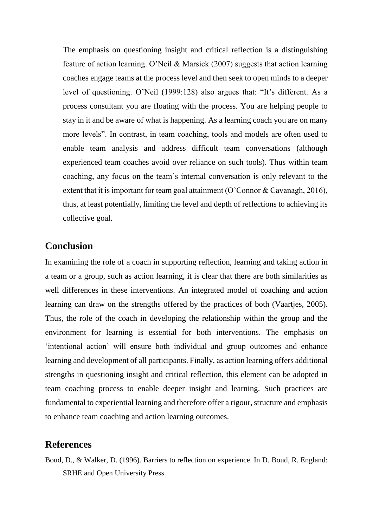The emphasis on questioning insight and critical reflection is a distinguishing feature of action learning. O'Neil & Marsick (2007) suggests that action learning coaches engage teams at the process level and then seek to open minds to a deeper level of questioning. O'Neil (1999:128) also argues that: "It's different. As a process consultant you are floating with the process. You are helping people to stay in it and be aware of what is happening. As a learning coach you are on many more levels". In contrast, in team coaching, tools and models are often used to enable team analysis and address difficult team conversations (although experienced team coaches avoid over reliance on such tools). Thus within team coaching, any focus on the team's internal conversation is only relevant to the extent that it is important for team goal attainment (O'Connor & Cavanagh, 2016), thus, at least potentially, limiting the level and depth of reflections to achieving its collective goal.

## **Conclusion**

In examining the role of a coach in supporting reflection, learning and taking action in a team or a group, such as action learning, it is clear that there are both similarities as well differences in these interventions. An integrated model of coaching and action learning can draw on the strengths offered by the practices of both (Vaartjes, 2005). Thus, the role of the coach in developing the relationship within the group and the environment for learning is essential for both interventions. The emphasis on 'intentional action' will ensure both individual and group outcomes and enhance learning and development of all participants. Finally, as action learning offers additional strengths in questioning insight and critical reflection, this element can be adopted in team coaching process to enable deeper insight and learning. Such practices are fundamental to experiential learning and therefore offer a rigour, structure and emphasis to enhance team coaching and action learning outcomes.

#### **References**

Boud, D., & Walker, D. (1996). Barriers to reflection on experience. In D. Boud, R. England: SRHE and Open University Press.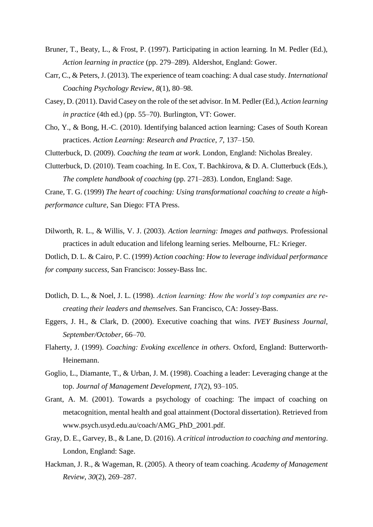- Bruner, T., Beaty, L., & Frost, P. (1997). Participating in action learning. In M. Pedler (Ed.), *Action learning in practice* (pp. 279–289)*.* Aldershot, England: Gower.
- Carr, C., & Peters, J. (2013). The experience of team coaching: A dual case study. *International Coaching Psychology Review*, *8*(1), 80–98.
- Casey, D. (2011). David Casey on the role of the set advisor. In M. Pedler (Ed.), *Action learning in practice* (4th ed.) (pp. 55–70). Burlington, VT: Gower.
- Cho, Y., & Bong, H.-C. (2010). Identifying balanced action learning: Cases of South Korean practices. *Action Learning: Research and Practice*, *7*, 137–150.
- Clutterbuck, D. (2009). *Coaching the team at work*. London, England: Nicholas Brealey.
- Clutterbuck, D. (2010). Team coaching. In E. Cox, T. Bachkirova, & D. A. Clutterbuck (Eds.), *The complete handbook of coaching* (pp. 271–283). London, England: Sage.

Crane, T. G. (1999) *The heart of coaching: Using transformational coaching to create a highperformance culture*, San Diego: FTA Press.

Dilworth, R. L., & Willis, V. J. (2003). *Action learning: Images and pathways.* Professional practices in adult education and lifelong learning series. Melbourne, FL: Krieger.

Dotlich, D. L. & Cairo, P. C. (1999) *Action coaching: How to leverage individual performance for company success*, San Francisco: Jossey-Bass Inc.

- Dotlich, D. L., & Noel, J. L. (1998). *Action learning: How the world's top companies are recreating their leaders and themselves*. San Francisco, CA: Jossey-Bass.
- Eggers, J. H., & Clark, D. (2000). Executive coaching that wins*. IVEY Business Journal, September/October*, 66–70.
- Flaherty, J. (1999). *Coaching: Evoking excellence in others*. Oxford, England: Butterworth-Heinemann.
- Goglio, L., Diamante, T., & Urban, J. M. (1998). Coaching a leader: Leveraging change at the top. *Journal of Management Development, 17*(2), 93–105.
- Grant, A. M. (2001). Towards a psychology of coaching: The impact of coaching on metacognition, mental health and goal attainment (Doctoral dissertation). Retrieved from www.psych.usyd.edu.au/coach/AMG\_PhD\_2001.pdf.
- Gray, D. E., Garvey, B., & Lane, D. (2016). *A critical introduction to coaching and mentoring*. London, England: Sage.
- Hackman, J. R., & Wageman, R. (2005). A theory of team coaching. *Academy of Management Review*, *30*(2), 269–287.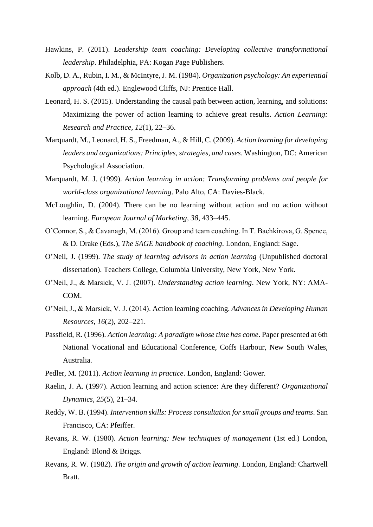- Hawkins, P. (2011). *Leadership team coaching: Developing collective transformational leadership*. Philadelphia, PA: Kogan Page Publishers.
- Kolb, D. A., Rubin, I. M., & McIntyre, J. M. (1984). *Organization psychology: An experiential approach* (4th ed.). Englewood Cliffs, NJ: Prentice Hall.
- Leonard, H. S. (2015). Understanding the causal path between action, learning, and solutions: Maximizing the power of action learning to achieve great results. *Action Learning: Research and Practice, 12*(1), 22–36.
- Marquardt, M., Leonard, H. S., Freedman, A., & Hill, C. (2009). *Action learning for developing leaders and organizations: Principles, strategies, and cases*. Washington, DC: American Psychological Association.
- Marquardt, M. J. (1999). *Action learning in action: Transforming problems and people for world-class organizational learning*. Palo Alto, CA: Davies-Black.
- McLoughlin, D. (2004). There can be no learning without action and no action without learning. *European Journal of Marketing, 38*, 433–445.
- O'Connor, S., & Cavanagh, M. (2016). Group and team coaching. In T. Bachkirova, G. Spence, & D. Drake (Eds.), *The SAGE handbook of coaching*. London, England: Sage.
- O'Neil, J. (1999). *The study of learning advisors in action learning* (Unpublished doctoral dissertation). Teachers College, Columbia University, New York, New York.
- O'Neil, J., & Marsick, V. J. (2007). *Understanding action learning*. New York, NY: AMA-COM.
- O'Neil, J., & Marsick, V. J. (2014). Action learning coaching. *Advances in Developing Human Resources, 16*(2), 202–221.
- Passfield, R. (1996). *Action learning: A paradigm whose time has come*. Paper presented at 6th National Vocational and Educational Conference, Coffs Harbour, New South Wales, Australia.
- Pedler, M. (2011). *Action learning in practice*. London, England: Gower.
- Raelin, J. A. (1997). Action learning and action science: Are they different? *Organizational Dynamics, 25*(5), 21–34.
- Reddy, W. B. (1994). *Intervention skills: Process consultation for small groups and teams*. San Francisco, CA: Pfeiffer.
- Revans, R. W. (1980). *Action learning: New techniques of management* (1st ed.) London, England: Blond & Briggs.
- Revans, R. W. (1982). *The origin and growth of action learning*. London, England: Chartwell Bratt.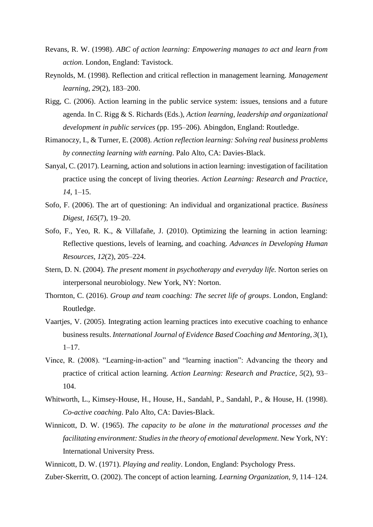- Revans, R. W. (1998). *ABC of action learning: Empowering manages to act and learn from action*. London, England: Tavistock.
- Reynolds, M. (1998). Reflection and critical reflection in management learning. *Management learning*, *29*(2), 183–200.
- Rigg, C. (2006). Action learning in the public service system: issues, tensions and a future agenda. In C. Rigg & S. Richards (Eds.), *Action learning, leadership and organizational development in public services* (pp. 195–206). Abingdon, England: Routledge.
- Rimanoczy, I., & Turner, E. (2008). *Action reflection learning: Solving real business problems by connecting learning with earning*. Palo Alto, CA: Davies-Black.
- Sanyal, C. (2017). Learning, action and solutions in action learning: investigation of facilitation practice using the concept of living theories. *Action Learning: Research and Practice*, *14*, 1–15.
- Sofo, F. (2006). The art of questioning: An individual and organizational practice. *Business Digest, 165*(7), 19–20.
- Sofo, F., Yeo, R. K., & Villafañe, J. (2010). Optimizing the learning in action learning: Reflective questions, levels of learning, and coaching. *Advances in Developing Human Resources*, *12*(2), 205–224.
- Stern, D. N. (2004). *The present moment in psychotherapy and everyday life.* Norton series on interpersonal neurobiology. New York, NY: Norton.
- Thornton, C. (2016). *Group and team coaching: The secret life of groups*. London, England: Routledge.
- Vaartjes, V. (2005). Integrating action learning practices into executive coaching to enhance business results. *International Journal of Evidence Based Coaching and Mentoring*, *3*(1), 1–17.
- Vince, R. (2008). "Learning-in-action" and "learning inaction": Advancing the theory and practice of critical action learning. *Action Learning: Research and Practice*, *5*(2), 93– 104.
- Whitworth, L., Kimsey-House, H., House, H., Sandahl, P., Sandahl, P., & House, H. (1998). *Co-active coaching*. Palo Alto, CA: Davies-Black.
- Winnicott, D. W. (1965). *The capacity to be alone in the maturational processes and the facilitating environment: Studies in the theory of emotional development*. New York, NY: International University Press.
- Winnicott, D. W. (1971). *Playing and reality*. London, England: Psychology Press.
- Zuber-Skerritt, O. (2002). The concept of action learning. *Learning Organization, 9*, 114–124.